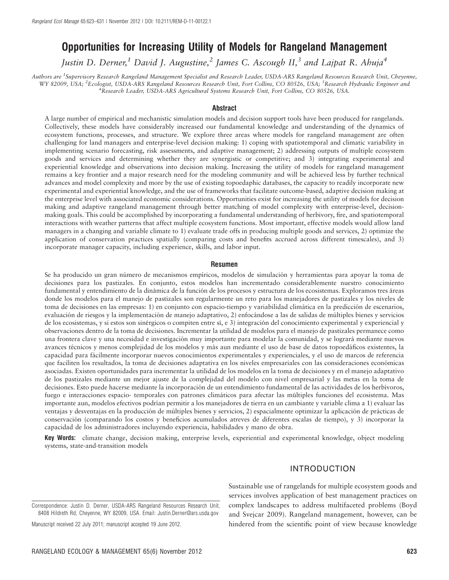# Opportunities for Increasing Utility of Models for Rangeland Management

Justin D. Derner,<sup>1</sup> David J. Augustine,<sup>2</sup> James C. Ascough II,<sup>3</sup> and Lajpat R. Ahuja<sup>4</sup>

Authors are <sup>1</sup>Supervisory Research Rangeland Management Specialist and Research Leader, USDA-ARS Rangeland Resources Research Unit, Cheyenne, WY 82009, USA; <sup>2</sup>Ecologist, USDA-ARS Rangeland Resources Research Unit, Fort Collins, CO 80526, USA; <sup>3</sup>Research Hydraulic Engineer and <sup>4</sup> Research Leader, USDA-ARS Agricultural Systems Research Unit, Fort Collins, CO 80526, USA.

#### Abstract

A large number of empirical and mechanistic simulation models and decision support tools have been produced for rangelands. Collectively, these models have considerably increased our fundamental knowledge and understanding of the dynamics of ecosystem functions, processes, and structure. We explore three areas where models for rangeland management are often challenging for land managers and enterprise-level decision making: 1) coping with spatiotemporal and climatic variability in implementing scenario forecasting, risk assessments, and adaptive management; 2) addressing outputs of multiple ecosystem goods and services and determining whether they are synergistic or competitive; and 3) integrating experimental and experiential knowledge and observations into decision making. Increasing the utility of models for rangeland management remains a key frontier and a major research need for the modeling community and will be achieved less by further technical advances and model complexity and more by the use of existing topoedaphic databases, the capacity to readily incorporate new experimental and experiential knowledge, and the use of frameworks that facilitate outcome-based, adaptive decision making at the enterprise level with associated economic considerations. Opportunities exist for increasing the utility of models for decision making and adaptive rangeland management through better matching of model complexity with enterprise-level, decisionmaking goals. This could be accomplished by incorporating a fundamental understanding of herbivory, fire, and spatiotemporal interactions with weather patterns that affect multiple ecosystem functions. Most important, effective models would allow land managers in a changing and variable climate to 1) evaluate trade offs in producing multiple goods and services, 2) optimize the application of conservation practices spatially (comparing costs and benefits accrued across different timescales), and 3) incorporate manager capacity, including experience, skills, and labor input.

#### Resumen

Se ha producido un gran número de mecanismos empíricos, modelos de simulación y herramientas para apoyar la toma de decisiones para los pastizales. En conjunto, estos modelos han incrementado considerablemente nuestro conocimiento fundamental y entendimiento de la dinámica de la función de los procesos y estructura de los ecosistemas. Exploramos tres áreas donde los modelos para el manejo de pastizales son regularmente un reto para los manejadores de pastizales y los niveles de toma de decisiones en las empresas: 1) en conjunto con espacio-tiempo y variabilidad clima´tica en la prediccion de escenarios, ´ evaluación de riesgos y la implementación de manejo adaptativo, 2) enfocándose a las de salidas de múltiples bienes y servicios de los ecosistemas, y si estos son sinérgicos o compiten entre sí, e 3) integración del conocimiento experimental y experiencial y observaciones dentro de la toma de decisiones. Incrementar la utilidad de modelos para el manejo de pastizales permanece como una frontera clave y una necesidad e investigación muy importante para modelar la comunidad, y se logrará mediante nuevos avances técnicos y menos complejidad de los modelos y más aun mediante el uso de base de datos topoedáficos existentes, la capacidad para fa´cilmente incorporar nuevos conocimientos experimentales y experienciales, y el uso de marcos de referencia que faciliten los resultados, la toma de decisiones adaptativa en los niveles empresariales con las consideraciones economicas ´ asociadas. Existen oportunidades para incrementar la utilidad de los modelos en la toma de decisiones y en el manejo adaptativo de los pastizales mediante un mejor ajuste de la complejidad del modelo con nivel empresarial y las metas en la toma de decisiones. Esto puede hacerse mediante la incorporación de un entendimiento fundamental de las actividades de los herbívoros, fuego e interacciones espacio- temporales con patrones climáticos para afectar las múltiples funciones del ecosistema. Mas importante aun, modelos efectivos podrían permitir a los manejadores de tierra en un cambiante y variable clima a 1) evaluar las ventajas y desventajas en la producción de múltiples bienes y servicios, 2) espacialmente optimizar la aplicación de prácticas de conservacion (comparando los costos y beneficios acumulados atreves de diferentes escalas de tiempo), y 3) incorporar la ´ capacidad de los administradores incluyendo experiencia, habilidades y mano de obra.

Key Words: climate change, decision making, enterprise levels, experiential and experimental knowledge, object modeling systems, state-and-transition models

# INTRODUCTION

Correspondence: Justin D. Derner, USDA-ARS Rangeland Resources Research Unit, 8408 Hildreth Rd, Cheyenne, WY 82009, USA. Email: Justin.Derner@ars.usda.gov

Manuscript received 22 July 2011; manuscript accepted 19 June 2012.

Sustainable use of rangelands for multiple ecosystem goods and services involves application of best management practices on complex landscapes to address multifaceted problems (Boyd and Svejcar 2009). Rangeland management, however, can be hindered from the scientific point of view because knowledge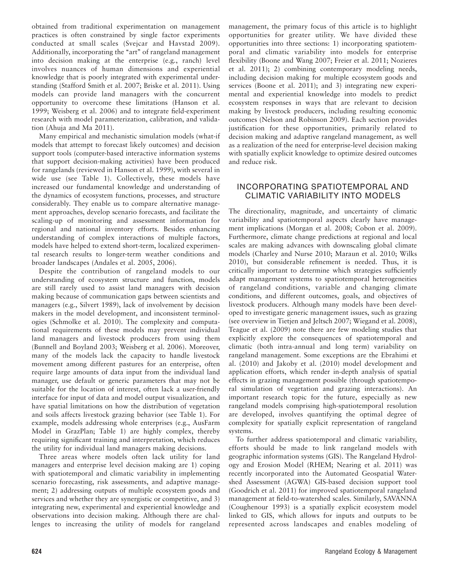obtained from traditional experimentation on management practices is often constrained by single factor experiments conducted at small scales (Svejcar and Havstad 2009). Additionally, incorporating the "art" of rangeland management into decision making at the enterprise (e.g., ranch) level involves nuances of human dimensions and experiential knowledge that is poorly integrated with experimental understanding (Stafford Smith et al. 2007; Briske et al. 2011). Using models can provide land managers with the concurrent opportunity to overcome these limitations (Hanson et al. 1999; Weisberg et al. 2006) and to integrate field-experiment research with model parameterization, calibration, and validation (Ahuja and Ma 2011).

Many empirical and mechanistic simulation models (what-if models that attempt to forecast likely outcomes) and decision support tools (computer-based interactive information systems that support decision-making activities) have been produced for rangelands (reviewed in Hanson et al. 1999), with several in wide use (see Table 1). Collectively, these models have increased our fundamental knowledge and understanding of the dynamics of ecosystem functions, processes, and structure considerably. They enable us to compare alternative management approaches, develop scenario forecasts, and facilitate the scaling-up of monitoring and assessment information for regional and national inventory efforts. Besides enhancing understanding of complex interactions of multiple factors, models have helped to extend short-term, localized experimental research results to longer-term weather conditions and broader landscapes (Andales et al. 2005, 2006).

Despite the contribution of rangeland models to our understanding of ecosystem structure and function, models are still rarely used to assist land managers with decision making because of communication gaps between scientists and managers (e.g., Silvert 1989), lack of involvement by decision makers in the model development, and inconsistent terminologies (Schmolke et al. 2010). The complexity and computational requirements of these models may prevent individual land managers and livestock producers from using them (Bunnell and Boyland 2003; Weisberg et al. 2006). Moreover, many of the models lack the capacity to handle livestock movement among different pastures for an enterprise, often require large amounts of data input from the individual land manager, use default or generic parameters that may not be suitable for the location of interest, often lack a user-friendly interface for input of data and model output visualization, and have spatial limitations on how the distribution of vegetation and soils affects livestock grazing behavior (see Table 1). For example, models addressing whole enterprises (e.g., AusFarm Model in GrazPlan; Table 1) are highly complex, thereby requiring significant training and interpretation, which reduces the utility for individual land managers making decisions.

Three areas where models often lack utility for land managers and enterprise level decision making are 1) coping with spatiotemporal and climatic variability in implementing scenario forecasting, risk assessments, and adaptive management; 2) addressing outputs of multiple ecosystem goods and services and whether they are synergistic or competitive, and 3) integrating new, experimental and experiential knowledge and observations into decision making. Although there are challenges to increasing the utility of models for rangeland

management, the primary focus of this article is to highlight opportunities for greater utility. We have divided these opportunities into three sections: 1) incorporating spatiotemporal and climatic variability into models for enterprise flexibility (Boone and Wang 2007; Freier et al. 2011; Nozieres et al. 2011); 2) combining contemporary modeling needs, including decision making for multiple ecosystem goods and services (Boone et al. 2011); and 3) integrating new experimental and experiential knowledge into models to predict ecosystem responses in ways that are relevant to decision making by livestock producers, including resulting economic outcomes (Nelson and Robinson 2009). Each section provides justification for these opportunities, primarily related to decision making and adaptive rangeland management, as well as a realization of the need for enterprise-level decision making with spatially explicit knowledge to optimize desired outcomes and reduce risk.

# INCORPORATING SPATIOTEMPORAL AND CLIMATIC VARIABILITY INTO MODELS

The directionality, magnitude, and uncertainty of climatic variability and spatiotemporal aspects clearly have management implications (Morgan et al. 2008; Cobon et al. 2009). Furthermore, climate change predictions at regional and local scales are making advances with downscaling global climate models (Charley and Nurse 2010; Maraun et al. 2010; Wilks 2010), but considerable refinement is needed. Thus, it is critically important to determine which strategies sufficiently adapt management systems to spatiotemporal heterogeneities of rangeland conditions, variable and changing climate conditions, and different outcomes, goals, and objectives of livestock producers. Although many models have been developed to investigate generic management issues, such as grazing (see overview in Tietjen and Jeltsch 2007; Wiegand et al. 2008), Teague et al. (2009) note there are few modeling studies that explicitly explore the consequences of spatiotemporal and climatic (both intra-annual and long term) variability on rangeland management. Some exceptions are the Ebrahimi et al. (2010) and Jakoby et al. (2010) model development and application efforts, which render in-depth analysis of spatial effects in grazing management possible (through spatiotemporal simulation of vegetation and grazing interactions). An important research topic for the future, especially as new rangeland models comprising high-spatiotemporal resolution are developed, involves quantifying the optimal degree of complexity for spatially explicit representation of rangeland systems.

To further address spatiotemporal and climatic variability, efforts should be made to link rangeland models with geographic information systems (GIS). The Rangeland Hydrology and Erosion Model (RHEM; Nearing et al. 2011) was recently incorporated into the Automated Geospatial Watershed Assessment (AGWA) GIS-based decision support tool (Goodrich et al. 2011) for improved spatiotemporal rangeland management at field-to-watershed scales. Similarly, SAVANNA (Coughenour 1993) is a spatially explicit ecosystem model linked to GIS, which allows for inputs and outputs to be represented across landscapes and enables modeling of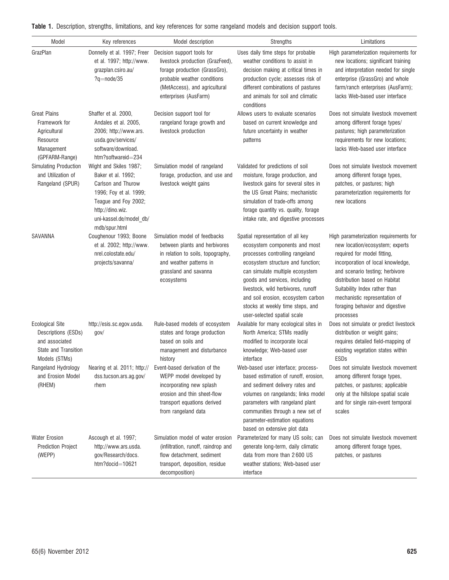| Model                                                                                                                                                                                                                                                   | Key references                                                                                 | Model description                                                                                                                                                                        | Strengths                                                                                                                                                                                                                                                                                                                                                     | Limitations                                                                                                                                                                                                                                                                                                                         |  |  |
|---------------------------------------------------------------------------------------------------------------------------------------------------------------------------------------------------------------------------------------------------------|------------------------------------------------------------------------------------------------|------------------------------------------------------------------------------------------------------------------------------------------------------------------------------------------|---------------------------------------------------------------------------------------------------------------------------------------------------------------------------------------------------------------------------------------------------------------------------------------------------------------------------------------------------------------|-------------------------------------------------------------------------------------------------------------------------------------------------------------------------------------------------------------------------------------------------------------------------------------------------------------------------------------|--|--|
| GrazPlan                                                                                                                                                                                                                                                | Donnelly et al. 1997; Freer<br>et al. 1997; http://www.<br>grazplan.csiro.au/<br>$?q=node/35$  | Decision support tools for<br>livestock production (GrazFeed),<br>forage production (GrassGro),<br>probable weather conditions<br>(MetAccess), and agricultural<br>enterprises (AusFarm) | Uses daily time steps for probable<br>weather conditions to assist in<br>decision making at critical times in<br>production cycle; assesses risk of<br>different combinations of pastures<br>and animals for soil and climatic<br>conditions                                                                                                                  | High parameterization requirements for<br>new locations; significant training<br>and interpretation needed for single<br>enterprise (GrassGro) and whole<br>farm/ranch enterprises (AusFarm);<br>lacks Web-based user interface                                                                                                     |  |  |
| <b>Great Plains</b><br>Shaffer et al. 2000,<br>Framework for<br>Andales et al. 2005,<br>Agricultural<br>2006; http://www.ars.<br>Resource<br>usda.gov/services/<br>software/download.<br>Management<br>htm?softwareid=234<br>(GPFARM-Range)             |                                                                                                | Decision support tool for<br>rangeland forage growth and<br>livestock production                                                                                                         | Allows users to evaluate scenarios<br>based on current knowledge and<br>future uncertainty in weather<br>patterns                                                                                                                                                                                                                                             | Does not simulate livestock movement<br>among different forage types/<br>pastures; high parameterization<br>requirements for new locations;<br>lacks Web-based user interface                                                                                                                                                       |  |  |
| Simulating Production<br>Wight and Skiles 1987;<br>and Utilization of<br>Baker et al. 1992;<br>Rangeland (SPUR)<br>Carlson and Thurow<br>1996; Foy et al. 1999;<br>Teague and Foy 2002;<br>http://dino.wiz.<br>uni-kassel.de/model_db/<br>mdb/spur.html |                                                                                                | Simulation model of rangeland<br>forage, production, and use and<br>livestock weight gains                                                                                               | Validated for predictions of soil<br>moisture, forage production, and<br>livestock gains for several sites in<br>the US Great Plains; mechanistic<br>simulation of trade-offs among<br>forage quantity vs. quality, forage<br>intake rate, and digestive processes                                                                                            | Does not simulate livestock movement<br>among different forage types,<br>patches, or pastures; high<br>parameterization requirements for<br>new locations                                                                                                                                                                           |  |  |
| SAVANNA                                                                                                                                                                                                                                                 | Coughenour 1993; Boone<br>et al. 2002; http://www.<br>nrel.colostate.edu/<br>projects/savanna/ | Simulation model of feedbacks<br>between plants and herbivores<br>in relation to soils, topography,<br>and weather patterns in<br>grassland and savanna<br>ecosystems                    | Spatial representation of all key<br>ecosystem components and most<br>processes controlling rangeland<br>ecosystem structure and function;<br>can simulate multiple ecosystem<br>goods and services, including<br>livestock, wild herbivores, runoff<br>and soil erosion, ecosystem carbon<br>stocks at weekly time steps, and<br>user-selected spatial scale | High parameterization requirements for<br>new location/ecosystem; experts<br>required for model fitting,<br>incorporation of local knowledge,<br>and scenario testing; herbivore<br>distribution based on Habitat<br>Suitability Index rather than<br>mechanistic representation of<br>foraging behavior and digestive<br>processes |  |  |
| <b>Ecological Site</b><br>Descriptions (ESDs)<br>and associated<br>State and Transition<br>Models (STMs)                                                                                                                                                | http://esis.sc.egov.usda.<br>gov/                                                              | Rule-based models of ecosystem<br>states and forage production<br>based on soils and<br>management and disturbance<br>history                                                            | Available for many ecological sites in<br>North America; STMs readily<br>modified to incorporate local<br>knowledge; Web-based user<br>interface                                                                                                                                                                                                              | Does not simulate or predict livestock<br>distribution or weight gains;<br>requires detailed field-mapping of<br>existing vegetation states within<br>ESDs                                                                                                                                                                          |  |  |
| Rangeland Hydrology<br>and Erosion Model<br>(RHEM)                                                                                                                                                                                                      | Nearing et al. 2011; http://<br>dss.tucson.ars.ag.gov/<br>rhem                                 | Event-based derivation of the<br>WEPP model developed by<br>incorporating new splash<br>erosion and thin sheet-flow<br>transport equations derived<br>from rangeland data                | Web-based user interface; process-<br>based estimation of runoff, erosion,<br>and sediment delivery rates and<br>volumes on rangelands; links model<br>parameters with rangeland plant<br>communities through a new set of<br>parameter-estimation equations<br>based on extensive plot data                                                                  | Does not simulate livestock movement<br>among different forage types,<br>patches, or pastures; applicable<br>only at the hillslope spatial scale<br>and for single rain-event temporal<br>scales                                                                                                                                    |  |  |
| <b>Water Erosion</b><br><b>Prediction Project</b><br>(WEPP)                                                                                                                                                                                             | Ascough et al. 1997;<br>http://www.ars.usda.<br>gov/Research/docs.<br>htm?docid=10621          | Simulation model of water erosion<br>(infiltration, runoff, raindrop and<br>flow detachment, sediment<br>transport, deposition, residue<br>decomposition)                                | Parameterized for many US soils; can<br>generate long-term, daily climatic<br>data from more than 2600 US<br>weather stations; Web-based user<br>interface                                                                                                                                                                                                    | Does not simulate livestock movement<br>among different forage types,<br>patches, or pastures                                                                                                                                                                                                                                       |  |  |

|  |  |  |  | Table 1. Description, strengths, limitations, and key references for some rangeland models and decision support tools. |
|--|--|--|--|------------------------------------------------------------------------------------------------------------------------|
|  |  |  |  |                                                                                                                        |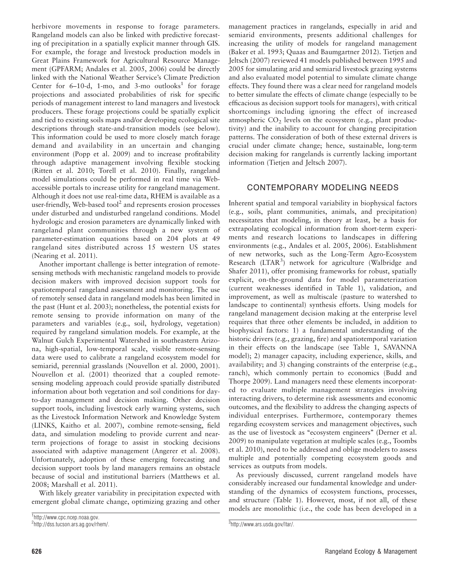herbivore movements in response to forage parameters. Rangeland models can also be linked with predictive forecasting of precipitation in a spatially explicit manner through GIS. For example, the forage and livestock production models in Great Plains Framework for Agricultural Resource Management (GPFARM; Andales et al. 2005, 2006) could be directly linked with the National Weather Service's Climate Prediction Center for  $6-10-d$ , 1-mo, and 3-mo outlooks<sup>1</sup> for forage projections and associated probabilities of risk for specific periods of management interest to land managers and livestock producers. These forage projections could be spatially explicit and tied to existing soils maps and/or developing ecological site descriptions through state-and-transition models (see below). This information could be used to more closely match forage demand and availability in an uncertain and changing environment (Popp et al. 2009) and to increase profitability through adaptive management involving flexible stocking (Ritten et al. 2010; Torell et al. 2010). Finally, rangeland model simulations could be performed in real time via Webaccessible portals to increase utility for rangeland management. Although it does not use real-time data, RHEM is available as a user-friendly, Web-based tool<sup>2</sup> and represents erosion processes under disturbed and undisturbed rangeland conditions. Model hydrologic and erosion parameters are dynamically linked with rangeland plant communities through a new system of parameter-estimation equations based on 204 plots at 49 rangeland sites distributed across 15 western US states (Nearing et al. 2011).

Another important challenge is better integration of remotesensing methods with mechanistic rangeland models to provide decision makers with improved decision support tools for spatiotemporal rangeland assessment and monitoring. The use of remotely sensed data in rangeland models has been limited in the past (Hunt et al. 2003); nonetheless, the potential exists for remote sensing to provide information on many of the parameters and variables (e.g., soil, hydrology, vegetation) required by rangeland simulation models. For example, at the Walnut Gulch Experimental Watershed in southeastern Arizona, high-spatial, low-temporal scale, visible remote-sensing data were used to calibrate a rangeland ecosystem model for semiarid, perennial grasslands (Nouvellon et al. 2000, 2001). Nouvellon et al. (2001) theorized that a coupled remotesensing modeling approach could provide spatially distributed information about both vegetation and soil conditions for dayto-day management and decision making. Other decision support tools, including livestock early warning systems, such as the Livestock Information Network and Knowledge System (LINKS, Kaitho et al. 2007), combine remote-sensing, field data, and simulation modeling to provide current and nearterm projections of forage to assist in stocking decisions associated with adaptive management (Angerer et al. 2008). Unfortunately, adoption of these emerging forecasting and decision support tools by land managers remains an obstacle because of social and institutional barriers (Matthews et al. 2008; Marshall et al. 2011).

With likely greater variability in precipitation expected with emergent global climate change, optimizing grazing and other

1 http://www.cpc.ncep.noaa.gov.

management practices in rangelands, especially in arid and semiarid environments, presents additional challenges for increasing the utility of models for rangeland management (Baker et al. 1993; Quaas and Baumgartner 2012). Tietjen and Jeltsch (2007) reviewed 41 models published between 1995 and 2005 for simulating arid and semiarid livestock grazing systems and also evaluated model potential to simulate climate change effects. They found there was a clear need for rangeland models to better simulate the effects of climate change (especially to be efficacious as decision support tools for managers), with critical shortcomings including ignoring the effect of increased atmospheric  $CO<sub>2</sub>$  levels on the ecosystem (e.g., plant productivity) and the inability to account for changing precipitation patterns. The consideration of both of these external drivers is crucial under climate change; hence, sustainable, long-term decision making for rangelands is currently lacking important information (Tietjen and Jeltsch 2007).

# CONTEMPORARY MODELING NEEDS

Inherent spatial and temporal variability in biophysical factors (e.g., soils, plant communities, animals, and precipitation) necessitates that modeling, in theory at least, be a basis for extrapolating ecological information from short-term experiments and research locations to landscapes in differing environments (e.g., Andales et al. 2005, 2006). Establishment of new networks, such as the Long-Term Agro-Ecosystem Research (LTAR<sup>3</sup>) network for agriculture (Walbridge and Shafer 2011), offer promising frameworks for robust, spatially explicit, on-the-ground data for model parameterization (current weaknesses identified in Table 1), validation, and improvement, as well as multiscale (pasture to watershed to landscape to continental) synthesis efforts. Using models for rangeland management decision making at the enterprise level requires that three other elements be included, in addition to biophysical factors: 1) a fundamental understanding of the historic drivers (e.g., grazing, fire) and spatiotemporal variation in their effects on the landscape (see Table 1, SAVANNA model); 2) manager capacity, including experience, skills, and availability; and 3) changing constraints of the enterprise (e.g., ranch), which commonly pertain to economics (Budd and Thorpe 2009). Land managers need these elements incorporated to evaluate multiple management strategies involving interacting drivers, to determine risk assessments and economic outcomes, and the flexibility to address the changing aspects of individual enterprises. Furthermore, contemporary themes regarding ecosystem services and management objectives, such as the use of livestock as "ecosystem engineers" (Derner et al. 2009) to manipulate vegetation at multiple scales (e.g., Toombs et al. 2010), need to be addressed and oblige modelers to assess multiple and potentially competing ecosystem goods and services as outputs from models.

As previously discussed, current rangeland models have considerably increased our fundamental knowledge and understanding of the dynamics of ecosystem functions, processes, and structure (Table 1). However, most, if not all, of these models are monolithic (i.e., the code has been developed in a

 $^2$ http://dss.tucson.ars.ag.gov/rhem/.  $^3$ 

http://www.ars.usda.gov/ltar/.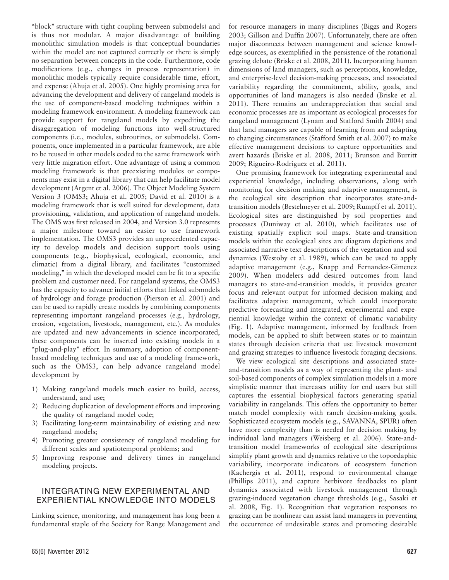''block'' structure with tight coupling between submodels) and is thus not modular. A major disadvantage of building monolithic simulation models is that conceptual boundaries within the model are not captured correctly or there is simply no separation between concepts in the code. Furthermore, code modifications (e.g., changes in process representation) in monolithic models typically require considerable time, effort, and expense (Ahuja et al. 2005). One highly promising area for advancing the development and delivery of rangeland models is the use of component-based modeling techniques within a modeling framework environment. A modeling framework can provide support for rangeland models by expediting the disaggregation of modeling functions into well-structured components (i.e., modules, subroutines, or submodels). Components, once implemented in a particular framework, are able to be reused in other models coded to the same framework with very little migration effort. One advantage of using a common modeling framework is that preexisting modules or components may exist in a digital library that can help facilitate model development (Argent et al. 2006). The Object Modeling System Version 3 (OMS3; Ahuja et al. 2005; David et al. 2010) is a modeling framework that is well suited for development, data provisioning, validation, and application of rangeland models. The OMS was first released in 2004, and Version 3.0 represents a major milestone toward an easier to use framework implementation. The OMS3 provides an unprecedented capacity to develop models and decision support tools using components (e.g., biophysical, ecological, economic, and climatic) from a digital library, and facilitates "customized modeling," in which the developed model can be fit to a specific problem and customer need. For rangeland systems, the OMS3 has the capacity to advance initial efforts that linked submodels of hydrology and forage production (Pierson et al. 2001) and can be used to rapidly create models by combining components representing important rangeland processes (e.g., hydrology, erosion, vegetation, livestock, management, etc.). As modules are updated and new advancements in science incorporated, these components can be inserted into existing models in a "plug-and-play" effort. In summary, adoption of componentbased modeling techniques and use of a modeling framework, such as the OMS3, can help advance rangeland model development by

- 1) Making rangeland models much easier to build, access, understand, and use;
- 2) Reducing duplication of development efforts and improving the quality of rangeland model code;
- 3) Facilitating long-term maintainability of existing and new rangeland models;
- 4) Promoting greater consistency of rangeland modeling for different scales and spatiotemporal problems; and
- 5) Improving response and delivery times in rangeland modeling projects.

### INTEGRATING NEW EXPERIMENTAL AND EXPERIENTIAL KNOWLEDGE INTO MODELS

Linking science, monitoring, and management has long been a fundamental staple of the Society for Range Management and for resource managers in many disciplines (Biggs and Rogers 2003; Gillson and Duffin 2007). Unfortunately, there are often major disconnects between management and science knowledge sources, as exemplified in the persistence of the rotational grazing debate (Briske et al. 2008, 2011). Incorporating human dimensions of land managers, such as perceptions, knowledge, and enterprise-level decision-making processes, and associated variability regarding the commitment, ability, goals, and opportunities of land managers is also needed (Briske et al. 2011). There remains an underappreciation that social and economic processes are as important as ecological processes for rangeland management (Lynam and Stafford Smith 2004) and that land managers are capable of learning from and adapting to changing circumstances (Stafford Smith et al. 2007) to make effective management decisions to capture opportunities and avert hazards (Briske et al. 2008, 2011; Brunson and Burritt 2009; Rigueiro-Rodríguez et al. 2011).

One promising framework for integrating experimental and experiential knowledge, including observations, along with monitoring for decision making and adaptive management, is the ecological site description that incorporates state-andtransition models (Bestelmeyer et al. 2009; Rumpff et al. 2011). Ecological sites are distinguished by soil properties and processes (Duniway et al. 2010), which facilitates use of existing spatially explicit soil maps. State-and-transition models within the ecological sites are diagram depictions and associated narrative text descriptions of the vegetation and soil dynamics (Westoby et al. 1989), which can be used to apply adaptive management (e.g., Knapp and Fernandez-Gimenez 2009). When modelers add desired outcomes from land managers to state-and-transition models, it provides greater focus and relevant output for informed decision making and facilitates adaptive management, which could incorporate predictive forecasting and integrated, experimental and experiential knowledge within the context of climatic variability (Fig. 1). Adaptive management, informed by feedback from models, can be applied to shift between states or to maintain states through decision criteria that use livestock movement and grazing strategies to influence livestock foraging decisions.

We view ecological site descriptions and associated stateand-transition models as a way of representing the plant- and soil-based components of complex simulation models in a more simplistic manner that increases utility for end users but still captures the essential biophysical factors generating spatial variability in rangelands. This offers the opportunity to better match model complexity with ranch decision-making goals. Sophisticated ecosystem models (e.g., SAVANNA, SPUR) often have more complexity than is needed for decision making by individual land managers (Weisberg et al. 2006). State-andtransition model frameworks of ecological site descriptions simplify plant growth and dynamics relative to the topoedaphic variability, incorporate indicators of ecosystem function (Kachergis et al. 2011), respond to environmental change (Phillips 2011), and capture herbivore feedbacks to plant dynamics associated with livestock management through grazing-induced vegetation change thresholds (e.g., Sasaki et al. 2008, Fig. 1). Recognition that vegetation responses to grazing can be nonlinear can assist land managers in preventing the occurrence of undesirable states and promoting desirable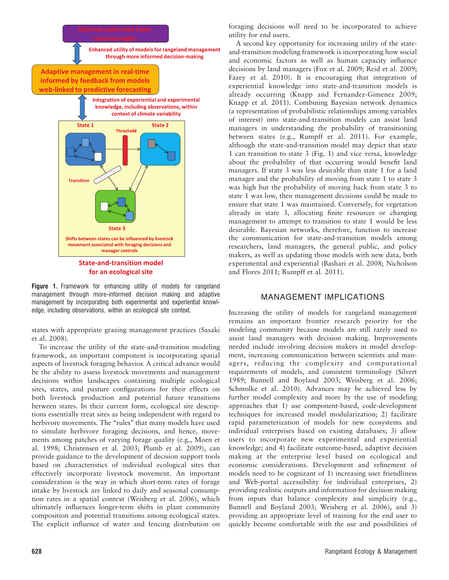

Figure 1. Framework for enhancing utility of models for rangeland management through more-informed decision making and adaptive management by incorporating both experimental and experiential knowledge, including observations, within an ecological site context.

states with appropriate grazing management practices (Sasaki et al. 2008).

To increase the utility of the state-and-transition modeling framework, an important component is incorporating spatial aspects of livestock foraging behavior. A critical advance would be the ability to assess livestock movements and management decisions within landscapes containing multiple ecological sites, states, and pasture configurations for their effects on both livestock production and potential future transitions between states. In their current form, ecological site descriptions essentially treat sites as being independent with regard to herbivore movements. The "rules" that many models have used to simulate herbivore foraging decisions, and hence, movements among patches of varying forage quality (e.g., Moen et al. 1998; Christensen et al. 2003; Plumb et al. 2009), can provide guidance to the development of decision support tools based on characteristics of individual ecological sites that effectively incorporate livestock movement. An important consideration is the way in which short-term rates of forage intake by livestock are linked to daily and seasonal consumption rates in a spatial context (Weisberg et al. 2006), which ultimately influences longer-term shifts in plant community composition and potential transitions among ecological states. The explicit influence of water and fencing distribution on

foraging decisions will need to be incorporated to achieve utility for end users.

A second key opportunity for increasing utility of the stateand-transition modeling framework is incorporating how social and economic factors as well as human capacity influence decisions by land managers (Fox et al. 2009; Reid et al. 2009; Fazey et al. 2010). It is encouraging that integration of experiential knowledge into state-and-transition models is already occurring (Knapp and Fernandez-Gimenez 2009; Knapp et al. 2011). Combining Bayesian network dynamics (a representation of probabilistic relationships among variables of interest) into state-and-transition models can assist land managers in understanding the probability of transitioning between states (e.g., Rumpff et al. 2011). For example, although the state-and-transition model may depict that state 1 can transition to state 3 (Fig. 1) and vice versa, knowledge about the probability of that occurring would benefit land managers. If state 3 was less desirable than state 1 for a land manager and the probability of moving from state 1 to state 3 was high but the probability of moving back from state 3 to state 1 was low, then management decisions could be made to ensure that state 1 was maintained. Conversely, for vegetation already in state 3, allocating finite resources or changing management to attempt to transition to state 1 would be less desirable. Bayesian networks, therefore, function to increase the communication for state-and-transition models among researchers, land managers, the general public, and policy makers, as well as updating those models with new data, both experimental and experiential (Bashari et al. 2008; Nicholson and Flores 2011; Rumpff et al. 2011).

#### MANAGEMENT IMPLICATIONS

Increasing the utility of models for rangeland management remains an important frontier research priority for the modeling community because models are still rarely used to assist land managers with decision making. Improvements needed include involving decision makers in model development, increasing communication between scientists and managers, reducing the complexity and computational requirements of models, and consistent terminology (Silvert 1989; Bunnell and Boyland 2003; Weisberg et al. 2006; Schmolke et al. 2010). Advances may be achieved less by further model complexity and more by the use of modeling approaches that 1) use component-based, code-development techniques for increased model modularization; 2) facilitate rapid parameterization of models for new ecosystems and individual enterprises based on existing databases; 3) allow users to incorporate new experimental and experiential knowledge; and 4) facilitate outcome-based, adaptive decision making at the enterprise level based on ecological and economic considerations. Development and refinement of models need to be cognizant of 1) increasing user friendliness and Web-portal accessibility for individual enterprises, 2) providing realistic outputs and information for decision making from inputs that balance complexity and simplicity (e.g., Bunnell and Boyland 2003; Weisberg et al. 2006), and 3) providing an appropriate level of training for the end user to quickly become comfortable with the use and possibilities of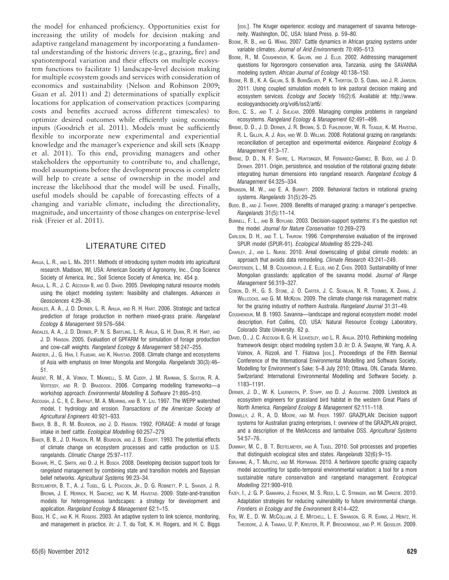the model for enhanced proficiency. Opportunities exist for increasing the utility of models for decision making and adaptive rangeland management by incorporating a fundamental understanding of the historic drivers (e.g., grazing, fire) and spatiotemporal variation and their effects on multiple ecosystem functions to facilitate 1) landscape-level decision making for multiple ecosystem goods and services with consideration of economics and sustainability (Nelson and Robinson 2009; Guan et al. 2011) and 2) determinations of spatially explicit locations for application of conservation practices (comparing costs and benefits accrued across different timescales) to optimize desired outcomes while efficiently using economic inputs (Goodrich et al. 2011). Models must be sufficiently flexible to incorporate new experimental and experiential knowledge and the manager's experience and skill sets (Knapp et al. 2011). To this end, providing managers and other stakeholders the opportunity to contribute to, and challenge, model assumptions before the development process is complete will help to create a sense of ownership in the model and increase the likelihood that the model will be used. Finally, useful models should be capable of forecasting effects of a changing and variable climate, including the directionality, magnitude, and uncertainty of those changes on enterprise-level risk (Freier et al. 2011).

#### LITERATURE CITED

- AHUJA, L. R., AND L. MA. 2011. Methods of introducing system models into agricultural research. Madison, WI, USA: American Society of Agronomy, Inc., Crop Science Society of America, Inc., Soil Science Society of America, Inc. 454 p.
- AHUJA, L. R., J. C. ASCOUGH II, AND O. DAVID. 2005. Developing natural resource models using the object modeling system: feasibility and challenges. Advances in Geosciences 4:29–36.
- ANDALES, A. A., J. D. DERNER, L. R. AHUJA, AND R. H. HART. 2006. Strategic and tactical prediction of forage production in northern mixed-grass prairie. Rangeland Ecology & Management 59:576–584.
- ANDALES, A. A., J. D. DERNER, P. N. S. BARTLING, L. R. AHUJA, G. H. DUNN, R. H. HART, AND J. D. HANSON. 2005. Evaluation of GPFARM for simulation of forage production and cow-calf weights. Rangeland Ecology & Management 58:247–255.
- ANGERER, J., G. HAN, I. FUJISAKI, AND K. HAVSTAD. 2008. Climate change and ecosystems of Asia with emphasis on Inner Mongolia and Mongolia. Rangelands 30(3):46– 51.
- ARGENT, R. M., A. VOINOV, T. MAXWELL, S. M. CUDDY, J. M. RAHMAN, S. SEATON, R. A. VERTESSY, AND R. D. BRADDOCK. 2006. Comparing modelling frameworks—a workshop approach. Environmental Modelling & Software 21:895–910.
- ASCOUGH, J. C., II, C. BAFFAUT, M. A. MEARING, AND B. Y. LIU. 1997. The WEPP watershed model, I: hydrology and erosion. Transactions of the American Society of Agricultural Engineers 40:921–933.
- BAKER, B. B., R. M. BOURDON, AND J. D. HANSON. 1992. FORAGE: A model of forage intake in beef cattle. Ecological Modelling 60:257–279.
- BAKER, B. B., J. D. HANSON, R. M. BOURDON, AND J. B. ECKERT. 1993. The potential effects of climate change on ecosystem processes and cattle production on U.S. rangelands. Climatic Change 25:97–117.
- BASHARI, H., C. SMITH, AND O. J. H. BOSCH. 2008. Developing decision support tools for rangeland management by combining state and transition models and Bayesian belief networks. Agricultural Systems 99:23–34.
- BESTELMEYER, B. T., A. J. TUGEL, G. L. PEACOCK, JR., D. G. ROBINETT, P. L. SHAVER, J. R. BROWN, J. E. HERRICK, H. SANCHEZ, AND K. M. HAVSTAD. 2009. State-and-transition models for heterogeneous landscapes: a strategy for development and application. Rangeland Ecology & Management 62:1–15.
- BIGGS, H. C., AND K. H. ROGERS. 2003. An adaptive system to link science, monitoring, and management in practice. In: J. T. du Toit, K. H. Rogers, and H. C. Biggs

[EDS.]. The Kruger experience: ecology and management of savanna heterogeneity. Washington, DC, USA: Island Press. p. 59–80.

- BOONE, R. B., AND G. WANG. 2007. Cattle dynamics in African grazing systems under variable climates. Journal of Arid Environments 70:495–513.
- BOONE, R., M. COUGHENOUR, K. GALVIN, AND J. ELLIS. 2002. Addressing management questions for Ngorongoro conservation area, Tanzania, using the SAVANNA modeling system. African Journal of Ecology 40:138–150.
- BOONE, R. B., K. A. GALVIN, S. B. BURNSILVER, P. K. THORTON, D. S. OJIMA, AND J. R. JAWSON. 2011. Using coupled simulation models to link pastoral decision making and ecosystem services. Ecology and Society 16(2):6. Available at: http://www. ecologyandsociety.org/vol6/iss2/art6/.
- Boyd, C. S., AND T. J. SVEJCAR. 2009. Managing complex problems in rangeland ecosystems. Rangeland Ecology & Management 62:491–499.
- BRISKE, D. D., J. D. DERNER, J. R. BROWN, S. D. FUHLENDORF, W. R. TEAGUE, K. M. HAVSTAD, R. L. GILLEN, A. J. ASH, AND W. D. WILLMS. 2008. Rotational grazing on rangelands: reconciliation of perception and experimental evidence. Rangeland Ecology & Management 61:3–17.
- BRISKE, D. D., N. F. SAYRE, L. HUNTSINGER, M. FERNANDEZ-GIMENEZ, B. BUDD, AND J. D. DERNER. 2011. Origin, persistence, and resolution of the rotational grazing debate: integrating human dimensions into rangeland research. Rangeland Ecology & Management 64:325–334.
- BRUNSON, M. W., AND E. A. BURRITT. 2009. Behavioral factors in rotational grazing systems. Rangelands 31(5):20–25.
- BUDD, B., AND J. THORPE. 2009. Benefits of managed grazing: a manager's perspective. Rangelands 31(5):11–14.
- BUNNELL, F. L., AND B. BOYLAND. 2003. Decision-support systems: it's the question not the model. Journal for Nature Conservation 10:269–279.
- CARLSON, D. H., AND T. L. THUROW. 1996. Comprehensive evaluation of the improved SPUR model (SPUR-91). Ecological Modelling 85:229–240.
- CHARLEY, J., AND L. NURSE. 2010. Areal downscaling of global climate models: an approach that avoids data remodeling. Climate Research 43:241–249.
- CHRISTENSEN, L., M. B. COUGHENOUR, J. E. ELLIS, AND Z. CHEN. 2003. Sustainability of Inner Mongolian grasslands: application of the savanna model. Journal of Range Management 56:319–327.
- COBON, D. H., G. S. STONE, J. O. CARTER, J. C. SCANLAN, N. R. TOOMBS, X. ZHANG, J. WILLCOCKS, AND G. M. McKEON. 2009. The climate change risk management matrix for the grazing industry of northern Australia. Rangeland Journal 31:31–49.
- COUGHENOUR, M. B. 1993. Savanna—landscape and regional ecosystem model: model description. Fort Collins, CO, USA: Natural Resource Ecology Laboratory, Colorado State University. 62 p.
- DAVID, O., J. C. Ascough II, G. H. LEAVESLEY, AND L. R. AHUJA. 2010. Rethinking modeling framework design: object modeling system 3.0. In: D. A. Swayne, W. Yang, A. A. Voinov, A. Rizzoli, and T. Filatova [EDS.]. Proceedings of the Fifth Biennial Conference of the International Environmental Modelling and Software Society, Modelling for Environment's Sake; 5–8 July 2010; Ottawa, ON, Canada. Manno, Switzerland: International Environmental Modelling and Software Society. p. 1183–1191.
- DERNER, J. D., W. K. LAUENROTH, P. STAPP, AND D. J. AUGUSTINE. 2009. Livestock as ecosystem engineers for grassland bird habitat in the western Great Plains of North America. Rangeland Ecology & Management 62:111–118.
- DONNELLY, J. R., A. D. MOORE, AND M. FREER. 1997. GRAZPLAN: Decision support systems for Australian grazing enterprises, I: overview of the GRAZPLAN project, and a description of the MetAccess and lambalive DSS. Agricultural Systems 54:57–76.
- DUNIWAY, M. C., B. T. BESTELMEYER, AND A. TUGEL. 2010. Soil processes and properties that distinguish ecological sites and states. Rangelands 32(6):9–15.
- EBRAHIMI, A., T. MILOTIĆ, AND M. HOFFMANN. 2010. A herbivore specific grazing capacity model accounting for spatio-temporal environmental variation: a tool for a more sustainable nature conservation and rangeland management. Ecological Modelling 221:900–910.
- FAZEY, I., J. G. P. GAMARRA, J. FISCHER, M. S. REED, L. C. STRINGER, AND M. CHRISTIE. 2010. Adaptation strategies for reducing vulnerability to future environmental change. Frontiers in Ecology and the Environment 8:414–422.
- FOX, W. E., D. W. MCCOLLUM, J. E. MITCHELL, L. E. SWANSON, G. R. EVANS, J. HEINTZ, H. THEODORE, J. A. TANAKA, U. P. KREUTER, R. P. BRECKENRIDGE, AND P. H. GEISSLER. 2009.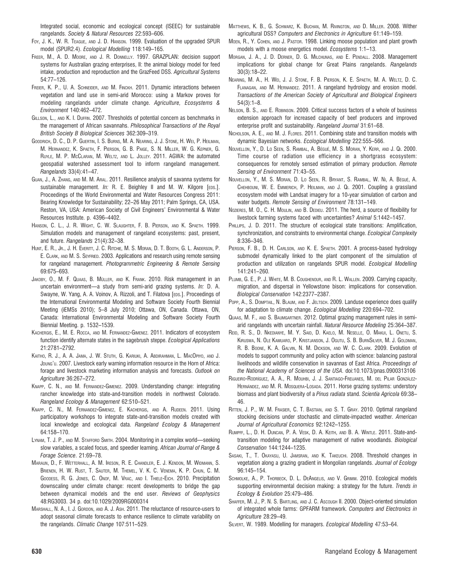Integrated social, economic and ecological concept (ISEEC) for sustainable rangelands. Society & Natural Resources 22:593–606.

- FOY, J. K., W. R. TEAGUE, AND J. D. HANSON. 1999. Evaluation of the upgraded SPUR model (SPUR2.4). Ecological Modelling 118:149–165.
- FREER, M., A. D. MOORE, AND J. R. DONNELLY. 1997. GRAZPLAN: decision support systems for Australian grazing enterprises, II: the animal biology model for feed intake, production and reproduction and the GrazFeed DSS. Agricultural Systems 54:77–126.
- FREIER, K. P., U. A. SCHNEIDER, AND M. FINCKH. 2011. Dynamic interactions between vegetation and land use in semi-arid Morocco: using a Markov proves for modeling rangelands under climate change. Agriculture, Ecosystems & Environment 140:462–472.
- GILLSON, L., AND K. I. DUFFIN. 2007. Thresholds of potential concern as benchmarks in the management of African savannahs. Philosophical Transactions of the Royal British Society B Biological Sciences 362:309–319.
- GOODRICH, D. C., D. P. GUERTIN, I. S. BURNS, M. A. NEARING, J. J. STONE, H. WEI, P. HEILMAN, M. HERNANDEZ, K. SPAETH, F. PIERSON, G. B. PAIGE, S. N. MILLER, W. G. KEPNER, G. RUYLE, M. P. MCCLARAN, M. WELTZ, AND L. JOLLEY. 2011. AGWA: the automated geospatial watershed assessment tool to inform rangeland management. Rangelands 33(4):41–47.
- GUAN, J., A. ZHANG, AND M. M. ARAL. 2011. Resilience analysis of savanna systems for sustainable management. In: R. E. Beighley II and M. W. Kilgore [EDS.]. Proceedings of the World Environmental and Water Resources Congress 2011: Bearing Knowledge for Sustainability; 22–26 May 2011; Palm Springs, CA, USA. Reston, VA, USA: American Society of Civil Engineers' Environmental & Water Resources Institute. p. 4396–4402.
- HANSON, C. L., J. R. WIGHT, C. W. SLAUGHTER, F. B. PIERSON, AND K. SPAETH. 1999. Simulation models and management of rangeland ecosystems: past, present, and future. Rangelands 21(4):32–38.
- HUNT, E. R., Jr., J. H. EVERITT, J. C. RITCHIE, M. S. MORAN, D. T. BOOTH, G. L. ANDERSON, P. E. CLARK, AND M. S. SEYFRIED. 2003. Applications and research using remote sensing for rangeland management. Photogrammetric Engineering & Remote Sensing 69:675–693.
- JAKOBY, O., M. F. QUAAS, B. MÜLLER, AND K. FRANK. 2010. Risk management in an uncertain environment—a study from semi-arid grazing systems. In: D. A. Swayne, W. Yang, A. A. Voinov, A. Rizzoli, and T. Filatova [EDS.]. Proceedings of the International Environmental Modeling and Software Society Fourth Biennial Meeting (iEMSs 2010); 5–8 July 2010; Ottawa, ON, Canada. Ottawa, ON, Canada: International Environmental Modeling and Software Society Fourth Biennial Meeting. p. 1532–1539.
- KACHERGIS, E., M. E. ROCCA, AND M. FERNANDEZ-GIMENEZ. 2011. Indicators of ecosystem function identify alternate states in the sagebrush steppe. Ecological Applications 21:2781–2792.
- KAITHO, R. J., A. A. JAMA, J. W. STUTH, G. KARIUKI, A. ABDIRAHMAN, L. MACOPIYO, AND J. JDUNG'U. 2007. Livestock early warning information resource in the Horn of Africa: forage and livestock marketing information analysis and forecasts. Outlook on Agriculture 36:267–272.
- KNAPP, C. N., AND M. FERNANDEZ-GIMENEZ. 2009. Understanding change: integrating rancher knowledge into state-and-transition models in northwest Colorado. Rangeland Ecology & Management 62:510–521.
- KNAPP, C. N., M. FERNANDEZ-GIMENEZ, E. KACHERGIS, AND A. RUDEEN. 2011. Using participatory workshops to integrate state-and-transition models created with local knowledge and ecological data. Rangeland Ecology & Management 64:158–170.
- LYNAM, T. J. P., AND M. STAFFORD SMITH. 2004. Monitoring in a complex world—seeking slow variables, a scaled focus, and speedier learning. African Journal of Range & Forage Science. 21:69–78.
- MARAUN, D., F. WETTERHALL, A. M. IRESON, R. E. CHANDLER, E. J. KENDON, M. WIDMANN, S. BRIENEN, H. W. RUST, T. SAUTER, M. THEMEL, V. K. C. VENEMA, K. P. CHUN, C. M. GOODESS, R. G. JONES, C. ONOF, M. VRAC, AND I. THIELE-EICH. 2010. Precipitation downscaling under climate change: recent developments to bridge the gap between dynamical models and the end user. Reviews of Geophysics 48:RG3003. 34 p. doi:10.1029/2009RG000314
- MARSHALL, N. A., I. J. GORDON, AND A. J. ASH. 2011. The reluctance of resource-users to adopt seasonal climate forecasts to enhance resilience to climate variability on the rangelands. Climatic Change 107:511–529.
- MATTHEWS, K. B., G. SCHWARZ, K. BUCHAN, M. RIVINGTON, AND D. MILLER. 2008. Wither agricultural DSS? Computers and Electronics in Agriculture 61:149–159.
- MOEN, R., Y. COHEN, AND J. PASTOR. 1998. Linking moose population and plant growth models with a moose energetics model. Ecosystems 1:1–13.
- MORGAN, J. A., J. D. DERNER, D. G. MILCHUNAS, AND E. PENDALL. 2008. Management implications for global change for Great Plains rangelands. Rangelands 30(3):18–22.
- NEARING, M. A., H. WEI, J. J. STONE, F. B. PIERSON, K. E. SPAETH, M. A. WELTZ, D. C. FLANAGAN, AND M. HERNANDEZ. 2011. A rangeland hydrology and erosion model. Transactions of the American Society of Agricultural and Biological Engineers 54(3):1–8.
- NELSON, B. S., AND E. ROBINSON. 2009. Critical success factors of a whole of business extension approach for increased capacity of beef producers and improved enterprise profit and sustainability. Rangeland Journal 31:61–68.
- NICHOLSON, A. E., AND M. J. FLORES. 2011. Combining state and transition models with dynamic Bayesian networks. Ecological Modelling 222:555–566.
- Nouvellon, Y., D. Lo Seen, S. Rambal, A. Bégué, M. S. Moran, Y. Kerr, and J. Qi. 2000. Time course of radiation use efficiency in a shortgrass ecosystem: consequences for remotely sensed estimation of primary production. Remote Sensing of Environment 71:43–55.
- NOUVELLON, Y., M. S. MORAN, D. LO SEEN, R. BRYANT, S. RAMBAL, W. NI, A. BÉGUÉ, A. CHEHBOUNI, W. E. EMMERICH, P. HEILMAN, AND J. QI. 2001. Coupling a grassland ecosystem model with Landsat imagery for a 10-year simulation of carbon and water budgets. Remote Sensing of Environment 78:131–149.
- NOZIERES, M. O., C. H. MOULIN, AND B. DEDIEU. 2011. The herd, a source of flexibility for livestock farming systems faced with uncertainties? Animal 5:1442–1457.
- PHILLIPS, J. D. 2011. The structure of ecological state transitions: Amplification, synchronization, and constraints to environmental change. Ecological Complexity 8:336–346.
- PIERSON, F. B., D. H. CARLSON, AND K. E. SPAETH. 2001. A process-based hydrology submodel dynamically linked to the plant component of the simulation of production and utilization on rangelands SPUR model. Ecological Modelling 141:241–260.
- PLUMB, G. E., P. J. WHITE, M. B. COUGHENOUR, AND R. L. WALLEN. 2009. Carrying capacity, migration, and dispersal in Yellowstone bison: implications for conservation. Biological Conservation 142:2377–2387.
- POPP, A., S. DOMPTAIL, N. BLAUM, AND F. JELTSCH. 2009. Landuse experience does qualify for adaptation to climate change. Ecological Modelling 220:694–702.
- QUAAS, M. F., AND S. BAUMGARTNER. 2012. Optimal grazing management rules in semiarid rangelands with uncertain rainfall. Natural Resource Modeling 25:364–387.
- REID, R. S., D. NKEDIANYE, M. Y. SAID, D. KAELO, M. NESELLE, O. MAKUI, L. ONETU, S. KIRUSWA, N. OLE KAMUARO, P. KRISTJANSON, J. OGUTU, S. B. BURNSILVER, M. J. GOLDMAN, R. B. BOONE, K. A. GALVIN, N. M. DICKSON, AND W. C. CLARK. 2009. Evolution of models to support community and policy action with science: balancing pastoral livelihoods and wildlife conservation in savannas of East Africa. Proceedings of the National Academy of Sciences of the USA. doi:10.1073/pnas.0900313106
- RIGUEIRO-RODRÍGUEZ, A. A., R. MOUHBI, J. J. SANTIAGO-FREIJANES, M. DEL PILAR GONZÁLEZ-HERNÁNDEZ, AND M. R. MOSQUERA-LOSADA. 2011. Horse grazing systems: understory biomass and plant biodiversity of a Pinus radiata stand. Scientia Agricola 69:38-46.
- RITTEN, J. P., W. M. FRASIER, C. T. BASTIAN, AND S. T. GRAY. 2010. Optimal rangeland stocking decisions under stochastic and climate-impacted weather. American Journal of Agricultural Economics 92:1242–1255.
- RUMPFF, L., D. H. DUNCAN, P. A. VESK, D. A. KEITH, AND B. A. WINTLE. 2011. State-andtransition modeling for adaptive management of native woodlands. Biological Conservation 144:1244–1235.
- SASAKI, T., T. OKAYASU, U. JAMSRAN, AND K. TAKEUCHI. 2008. Threshold changes in vegetation along a grazing gradient in Mongolian rangelands. Journal of Ecology 96:145–154.
- SCHMOLKE, A., P. THORBECK, D. L. DEANGELIS, AND V. GRIMM. 2010. Ecological models supporting environmental decision making: a strategy for the future. Trends in Ecology & Evolution 25:479–486.
- SHAFFER, M. J., P. N. S. BARTLING, AND J. C. ASCOUGH II. 2000. Object-oriented simulation of integrated whole farms: GPFARM framework. Computers and Electronics in Agriculture 28:29–49.
- SILVERT, W. 1989. Modelling for managers. Ecological Modelling 47:53–64.